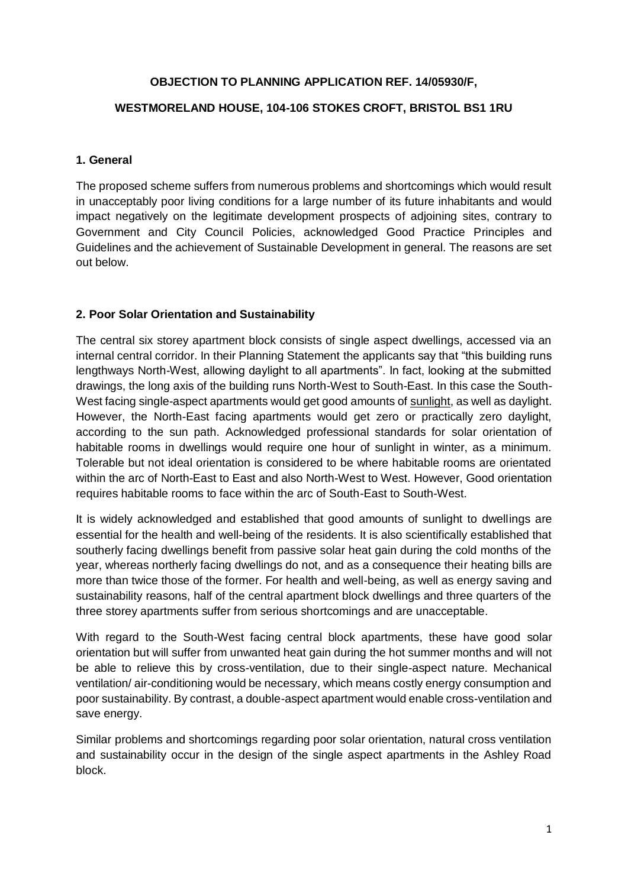### **OBJECTION TO PLANNING APPLICATION REF. 14/05930/F,**

#### **WESTMORELAND HOUSE, 104-106 STOKES CROFT, BRISTOL BS1 1RU**

#### **1. General**

The proposed scheme suffers from numerous problems and shortcomings which would result in unacceptably poor living conditions for a large number of its future inhabitants and would impact negatively on the legitimate development prospects of adjoining sites, contrary to Government and City Council Policies, acknowledged Good Practice Principles and Guidelines and the achievement of Sustainable Development in general. The reasons are set out below.

#### **2. Poor Solar Orientation and Sustainability**

The central six storey apartment block consists of single aspect dwellings, accessed via an internal central corridor. In their Planning Statement the applicants say that "this building runs lengthways North-West, allowing daylight to all apartments". In fact, looking at the submitted drawings, the long axis of the building runs North-West to South-East. In this case the South-West facing single-aspect apartments would get good amounts of sunlight, as well as daylight. However, the North-East facing apartments would get zero or practically zero daylight, according to the sun path. Acknowledged professional standards for solar orientation of habitable rooms in dwellings would require one hour of sunlight in winter, as a minimum. Tolerable but not ideal orientation is considered to be where habitable rooms are orientated within the arc of North-East to East and also North-West to West. However, Good orientation requires habitable rooms to face within the arc of South-East to South-West.

It is widely acknowledged and established that good amounts of sunlight to dwellings are essential for the health and well-being of the residents. It is also scientifically established that southerly facing dwellings benefit from passive solar heat gain during the cold months of the year, whereas northerly facing dwellings do not, and as a consequence their heating bills are more than twice those of the former. For health and well-being, as well as energy saving and sustainability reasons, half of the central apartment block dwellings and three quarters of the three storey apartments suffer from serious shortcomings and are unacceptable.

With regard to the South-West facing central block apartments, these have good solar orientation but will suffer from unwanted heat gain during the hot summer months and will not be able to relieve this by cross-ventilation, due to their single-aspect nature. Mechanical ventilation/ air-conditioning would be necessary, which means costly energy consumption and poor sustainability. By contrast, a double-aspect apartment would enable cross-ventilation and save energy.

Similar problems and shortcomings regarding poor solar orientation, natural cross ventilation and sustainability occur in the design of the single aspect apartments in the Ashley Road block.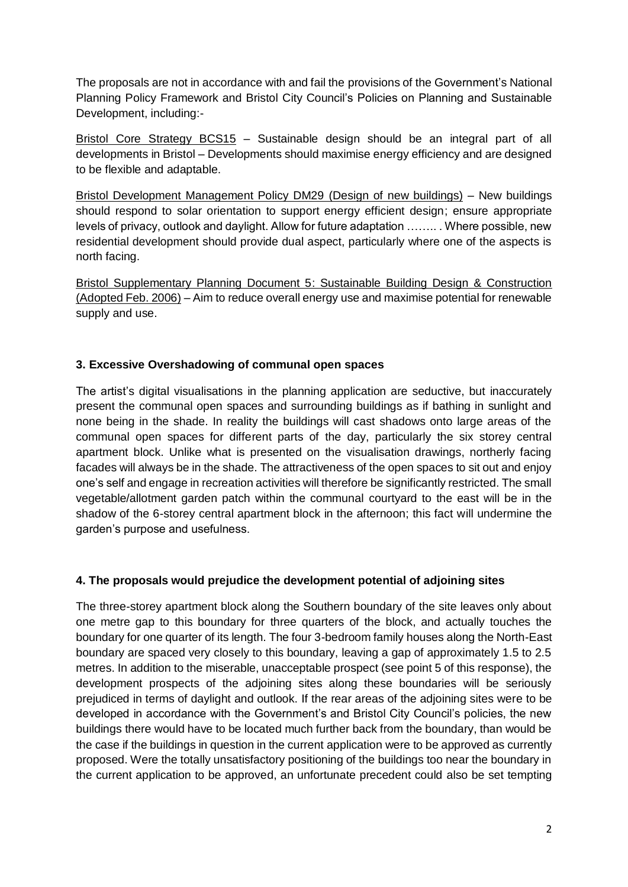The proposals are not in accordance with and fail the provisions of the Government's National Planning Policy Framework and Bristol City Council's Policies on Planning and Sustainable Development, including:-

Bristol Core Strategy BCS15 – Sustainable design should be an integral part of all developments in Bristol – Developments should maximise energy efficiency and are designed to be flexible and adaptable.

Bristol Development Management Policy DM29 (Design of new buildings) – New buildings should respond to solar orientation to support energy efficient design; ensure appropriate levels of privacy, outlook and daylight. Allow for future adaptation …….. . Where possible, new residential development should provide dual aspect, particularly where one of the aspects is north facing.

Bristol Supplementary Planning Document 5: Sustainable Building Design & Construction (Adopted Feb. 2006) – Aim to reduce overall energy use and maximise potential for renewable supply and use.

## **3. Excessive Overshadowing of communal open spaces**

The artist's digital visualisations in the planning application are seductive, but inaccurately present the communal open spaces and surrounding buildings as if bathing in sunlight and none being in the shade. In reality the buildings will cast shadows onto large areas of the communal open spaces for different parts of the day, particularly the six storey central apartment block. Unlike what is presented on the visualisation drawings, northerly facing facades will always be in the shade. The attractiveness of the open spaces to sit out and enjoy one's self and engage in recreation activities will therefore be significantly restricted. The small vegetable/allotment garden patch within the communal courtyard to the east will be in the shadow of the 6-storey central apartment block in the afternoon; this fact will undermine the garden's purpose and usefulness.

## **4. The proposals would prejudice the development potential of adjoining sites**

The three-storey apartment block along the Southern boundary of the site leaves only about one metre gap to this boundary for three quarters of the block, and actually touches the boundary for one quarter of its length. The four 3-bedroom family houses along the North-East boundary are spaced very closely to this boundary, leaving a gap of approximately 1.5 to 2.5 metres. In addition to the miserable, unacceptable prospect (see point 5 of this response), the development prospects of the adjoining sites along these boundaries will be seriously prejudiced in terms of daylight and outlook. If the rear areas of the adjoining sites were to be developed in accordance with the Government's and Bristol City Council's policies, the new buildings there would have to be located much further back from the boundary, than would be the case if the buildings in question in the current application were to be approved as currently proposed. Were the totally unsatisfactory positioning of the buildings too near the boundary in the current application to be approved, an unfortunate precedent could also be set tempting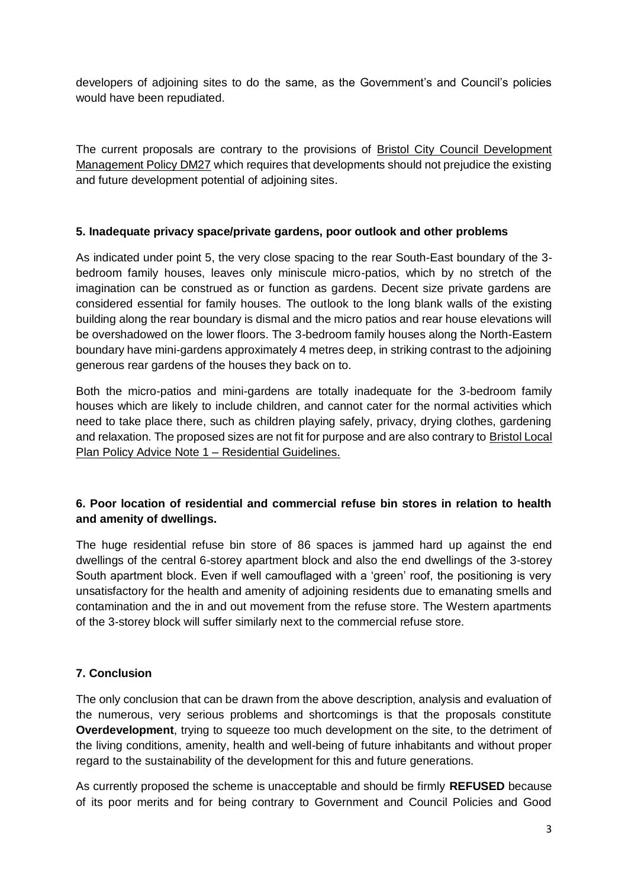developers of adjoining sites to do the same, as the Government's and Council's policies would have been repudiated.

The current proposals are contrary to the provisions of Bristol City Council Development Management Policy DM27 which requires that developments should not prejudice the existing and future development potential of adjoining sites.

### **5. Inadequate privacy space/private gardens, poor outlook and other problems**

As indicated under point 5, the very close spacing to the rear South-East boundary of the 3 bedroom family houses, leaves only miniscule micro-patios, which by no stretch of the imagination can be construed as or function as gardens. Decent size private gardens are considered essential for family houses. The outlook to the long blank walls of the existing building along the rear boundary is dismal and the micro patios and rear house elevations will be overshadowed on the lower floors. The 3-bedroom family houses along the North-Eastern boundary have mini-gardens approximately 4 metres deep, in striking contrast to the adjoining generous rear gardens of the houses they back on to.

Both the micro-patios and mini-gardens are totally inadequate for the 3-bedroom family houses which are likely to include children, and cannot cater for the normal activities which need to take place there, such as children playing safely, privacy, drying clothes, gardening and relaxation. The proposed sizes are not fit for purpose and are also contrary to Bristol Local Plan Policy Advice Note 1 – Residential Guidelines.

# **6. Poor location of residential and commercial refuse bin stores in relation to health and amenity of dwellings.**

The huge residential refuse bin store of 86 spaces is jammed hard up against the end dwellings of the central 6-storey apartment block and also the end dwellings of the 3-storey South apartment block. Even if well camouflaged with a 'green' roof, the positioning is very unsatisfactory for the health and amenity of adjoining residents due to emanating smells and contamination and the in and out movement from the refuse store. The Western apartments of the 3-storey block will suffer similarly next to the commercial refuse store.

## **7. Conclusion**

The only conclusion that can be drawn from the above description, analysis and evaluation of the numerous, very serious problems and shortcomings is that the proposals constitute **Overdevelopment**, trying to squeeze too much development on the site, to the detriment of the living conditions, amenity, health and well-being of future inhabitants and without proper regard to the sustainability of the development for this and future generations.

As currently proposed the scheme is unacceptable and should be firmly **REFUSED** because of its poor merits and for being contrary to Government and Council Policies and Good